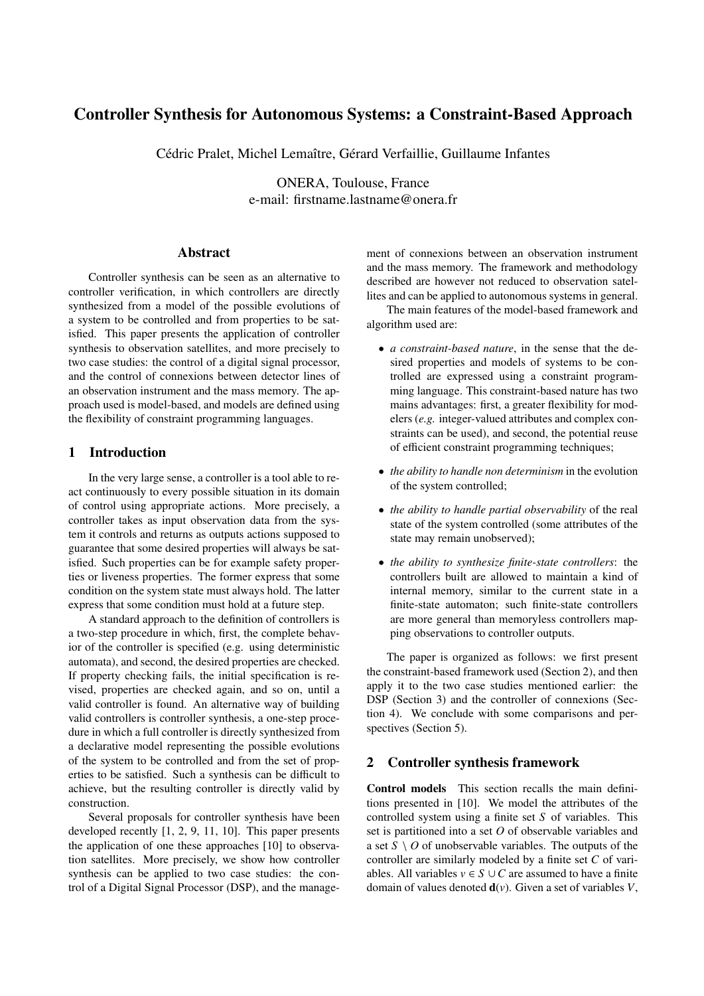# Controller Synthesis for Autonomous Systems: a Constraint-Based Approach

Cédric Pralet, Michel Lemaître, Gérard Verfaillie, Guillaume Infantes

ONERA, Toulouse, France e-mail: firstname.lastname@onera.fr

# Abstract

Controller synthesis can be seen as an alternative to controller verification, in which controllers are directly synthesized from a model of the possible evolutions of a system to be controlled and from properties to be satisfied. This paper presents the application of controller synthesis to observation satellites, and more precisely to two case studies: the control of a digital signal processor, and the control of connexions between detector lines of an observation instrument and the mass memory. The approach used is model-based, and models are defined using the flexibility of constraint programming languages.

# 1 Introduction

In the very large sense, a controller is a tool able to react continuously to every possible situation in its domain of control using appropriate actions. More precisely, a controller takes as input observation data from the system it controls and returns as outputs actions supposed to guarantee that some desired properties will always be satisfied. Such properties can be for example safety properties or liveness properties. The former express that some condition on the system state must always hold. The latter express that some condition must hold at a future step.

A standard approach to the definition of controllers is a two-step procedure in which, first, the complete behavior of the controller is specified (e.g. using deterministic automata), and second, the desired properties are checked. If property checking fails, the initial specification is revised, properties are checked again, and so on, until a valid controller is found. An alternative way of building valid controllers is controller synthesis, a one-step procedure in which a full controller is directly synthesized from a declarative model representing the possible evolutions of the system to be controlled and from the set of properties to be satisfied. Such a synthesis can be difficult to achieve, but the resulting controller is directly valid by construction.

Several proposals for controller synthesis have been developed recently [1, 2, 9, 11, 10]. This paper presents the application of one these approaches [10] to observation satellites. More precisely, we show how controller synthesis can be applied to two case studies: the control of a Digital Signal Processor (DSP), and the management of connexions between an observation instrument and the mass memory. The framework and methodology described are however not reduced to observation satellites and can be applied to autonomous systems in general.

The main features of the model-based framework and algorithm used are:

- *a constraint-based nature*, in the sense that the desired properties and models of systems to be controlled are expressed using a constraint programming language. This constraint-based nature has two mains advantages: first, a greater flexibility for modelers (*e.g.* integer-valued attributes and complex constraints can be used), and second, the potential reuse of efficient constraint programming techniques;
- *the ability to handle non determinism* in the evolution of the system controlled;
- *the ability to handle partial observability* of the real state of the system controlled (some attributes of the state may remain unobserved);
- *the ability to synthesize finite-state controllers*: the controllers built are allowed to maintain a kind of internal memory, similar to the current state in a finite-state automaton; such finite-state controllers are more general than memoryless controllers mapping observations to controller outputs.

The paper is organized as follows: we first present the constraint-based framework used (Section 2), and then apply it to the two case studies mentioned earlier: the DSP (Section 3) and the controller of connexions (Section 4). We conclude with some comparisons and perspectives (Section 5).

# 2 Controller synthesis framework

Control models This section recalls the main definitions presented in [10]. We model the attributes of the controlled system using a finite set *S* of variables. This set is partitioned into a set *O* of observable variables and a set  $S \setminus O$  of unobservable variables. The outputs of the controller are similarly modeled by a finite set *C* of variables. All variables  $v \in S \cup C$  are assumed to have a finite domain of values denoted d(*v*). Given a set of variables *V*,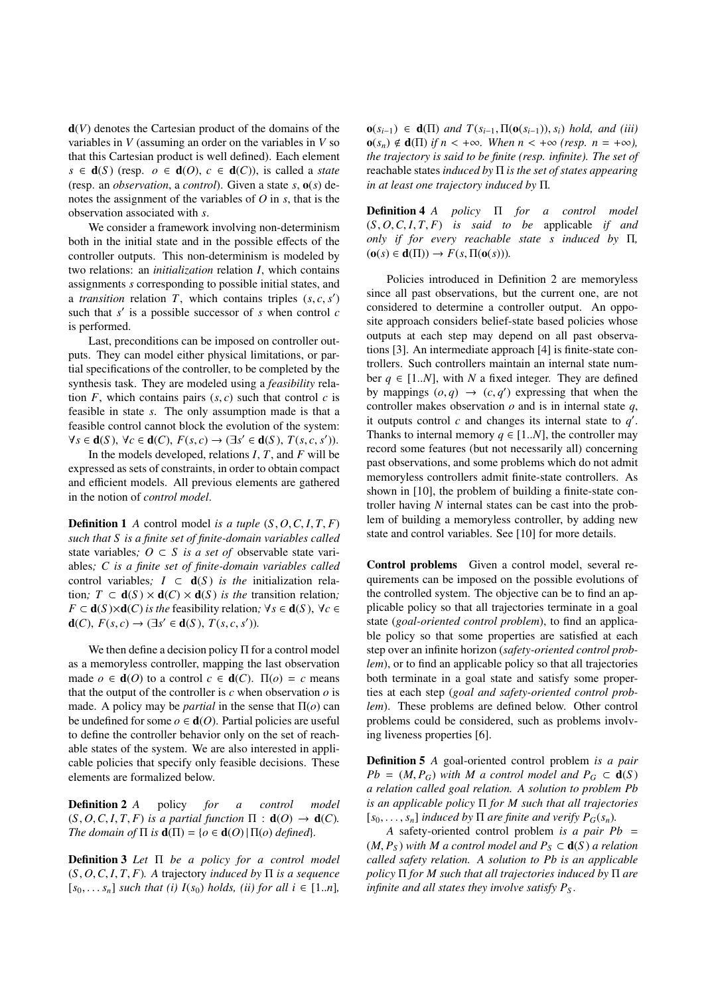d(*V*) denotes the Cartesian product of the domains of the variables in *V* (assuming an order on the variables in *V* so that this Cartesian product is well defined). Each element  $s \in d(S)$  (resp.  $o \in d(O), c \in d(C)$ ), is called a *state* (resp. an *observation*, a *control*). Given a state *s*, o(*s*) denotes the assignment of the variables of *O* in *s*, that is the observation associated with *s*.

We consider a framework involving non-determinism both in the initial state and in the possible effects of the controller outputs. This non-determinism is modeled by two relations: an *initialization* relation *I*, which contains assignments *s* corresponding to possible initial states, and a *transition* relation *T*, which contains triples  $(s, c, s')$ <br>such that  $s'$  is a possible successor of *s* when control *c* such that  $s'$  is a possible successor of  $s$  when control  $c$ is performed.

Last, preconditions can be imposed on controller outputs. They can model either physical limitations, or partial specifications of the controller, to be completed by the synthesis task. They are modeled using a *feasibility* relation  $F$ , which contains pairs  $(s, c)$  such that control  $c$  is feasible in state *s*. The only assumption made is that a feasible control cannot block the evolution of the system:  $\forall s \in \mathbf{d}(S), \forall c \in \mathbf{d}(C), F(s, c) \rightarrow (\exists s' \in \mathbf{d}(S), T(s, c, s'))$ .<br>In the models developed relations  $I, T$  and  $F$  will be

In the models developed, relations *I*, *T*, and *F* will be expressed as sets of constraints, in order to obtain compact and efficient models. All previous elements are gathered in the notion of *control model*.

**Definition 1** *A* control model *is a tuple*  $(S, O, C, I, T, F)$ *such that S is a finite set of finite-domain variables called* state variables;  $O \subset S$  *is a set of* observable state variables*; C is a finite set of finite-domain variables called* control variables;  $I \subset d(S)$  *is the* initialization relation;  $T \subset d(S) \times d(C) \times d(S)$  *is the* transition relation; *F* ⊂ **d**(*S*)×**d**(*C*) *is the* feasibility relation;  $\forall s \in d(S)$ ,  $\forall c \in$ **d**(*C*), *F*(*s*, *c*) → (∃*s*<sup> $′$ </sup> ∈ **d**(*S*), *T*(*s*, *c*, *s'*)).

We then define a decision policy  $\Pi$  for a control model as a memoryless controller, mapping the last observation made  $o \in \mathbf{d}(O)$  to a control  $c \in \mathbf{d}(C)$ .  $\Pi(o) = c$  means that the output of the controller is  $c$  when observation  $o$  is made. A policy may be *partial* in the sense that  $\Pi$ (*o*) can be undefined for some  $o \in d(O)$ . Partial policies are useful to define the controller behavior only on the set of reachable states of the system. We are also interested in applicable policies that specify only feasible decisions. These elements are formalized below.

Definition 2 *A* policy *for a control model*  $(S, O, C, I, T, F)$  *is a partial function*  $\Pi : d(O) \rightarrow d(C)$ *. The domain of*  $\Pi$  *is*  $\mathbf{d}(\Pi) = \{o \in \mathbf{d}(O) | \Pi(o) \text{ defined}\}.$ 

Definition 3 *Let* Π *be a policy for a control model*  $(S, O, C, I, T, F)$ . A trajectory *induced by*  $\Pi$  *is a sequence*  $[s_0, \ldots, s_n]$  *such that (i)*  $I(s_0)$  *holds, (ii) for all i* ∈ [1.*n*]*,* 

 $o(s_{i-1})$  ∈ **d**( $\Pi$ ) *and*  $T(s_{i-1}, \Pi(o(s_{i-1})), s_i)$  *hold, and (iii)*  $o(s_n) \notin d(\Pi)$  *if*  $n < +\infty$ *. When*  $n < +\infty$  *(resp.*  $n = +\infty$ *)*, *the trajectory is said to be finite (resp. infinite). The set of* reachable states *induced by* Π *is the set of states appearing in at least one trajectory induced by* Π*.*

Definition 4 *A policy* Π *for a control model* (*S*, *<sup>O</sup>*,*C*, *<sup>I</sup>*, *<sup>T</sup>*, *<sup>F</sup>*) *is said to be* applicable *if and only if for every reachable state s induced by* Π*,*  $(\mathbf{o}(s) \in \mathbf{d}(\Pi)) \rightarrow F(s, \Pi(\mathbf{o}(s))).$ 

Policies introduced in Definition 2 are memoryless since all past observations, but the current one, are not considered to determine a controller output. An opposite approach considers belief-state based policies whose outputs at each step may depend on all past observations [3]. An intermediate approach [4] is finite-state controllers. Such controllers maintain an internal state number  $q \in [1..N]$ , with *N* a fixed integer. They are defined by mappings  $(o, q) \rightarrow (c, q')$  expressing that when the controller makes observation  $o$  and is in internal state  $a$ controller makes observation  $o$  and is in internal state  $q$ , it outputs control  $c$  and changes its internal state to  $q'$ . Thanks to internal memory  $q \in [1..N]$ , the controller may record some features (but not necessarily all) concerning past observations, and some problems which do not admit memoryless controllers admit finite-state controllers. As shown in [10], the problem of building a finite-state controller having *N* internal states can be cast into the problem of building a memoryless controller, by adding new state and control variables. See [10] for more details.

Control problems Given a control model, several requirements can be imposed on the possible evolutions of the controlled system. The objective can be to find an applicable policy so that all trajectories terminate in a goal state (*goal-oriented control problem*), to find an applicable policy so that some properties are satisfied at each step over an infinite horizon (*safety-oriented control problem*), or to find an applicable policy so that all trajectories both terminate in a goal state and satisfy some properties at each step (*goal and safety-oriented control problem*). These problems are defined below. Other control problems could be considered, such as problems involving liveness properties [6].

Definition 5 *A* goal-oriented control problem *is a pair*  $Pb = (M, P_G)$  *with M a control model and*  $P_G \subset d(S)$ *a relation called goal relation. A solution to problem Pb is an applicable policy* Π *for M such that all trajectories*  $[s_0, \ldots, s_n]$  *induced by*  $\Pi$  *are finite and verify*  $P_G(s_n)$ *.* 

*A* safety-oriented control problem *is a pair Pb* =  $(M, P_S)$  *with M a control model and*  $P_S \subset d(S)$  *a relation called safety relation. A solution to Pb is an applicable policy* Π *for M such that all trajectories induced by* Π *are infinite and all states they involve satisfy*  $P_s$ *.*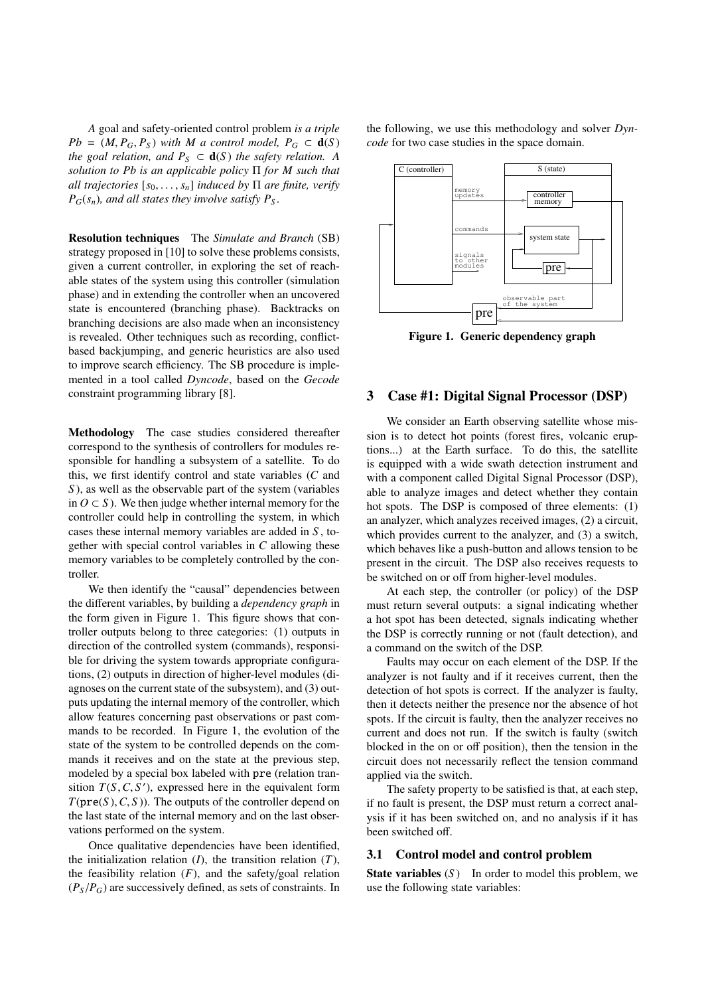*A* goal and safety-oriented control problem *is a triple Pb* =  $(M, P_G, P_S)$  *with M a control model,*  $P_G \subset d(S)$ *the goal relation, and*  $P_S \subset d(S)$  *the safety relation.* A *solution to Pb is an applicable policy* Π *for M such that all trajectories*  $[s_0, \ldots, s_n]$  *induced by*  $\Pi$  *are finite, verify*  $P_G(s_n)$ , and all states they involve satisfy  $P_S$ .

Resolution techniques The *Simulate and Branch* (SB) strategy proposed in [10] to solve these problems consists, given a current controller, in exploring the set of reachable states of the system using this controller (simulation phase) and in extending the controller when an uncovered state is encountered (branching phase). Backtracks on branching decisions are also made when an inconsistency is revealed. Other techniques such as recording, conflictbased backjumping, and generic heuristics are also used to improve search efficiency. The SB procedure is implemented in a tool called *Dyncode*, based on the *Gecode* constraint programming library [8].

Methodology The case studies considered thereafter correspond to the synthesis of controllers for modules responsible for handling a subsystem of a satellite. To do this, we first identify control and state variables (*C* and *S* ), as well as the observable part of the system (variables in *O* ⊂ *S* ). We then judge whether internal memory for the controller could help in controlling the system, in which cases these internal memory variables are added in *S* , together with special control variables in *C* allowing these memory variables to be completely controlled by the controller.

We then identify the "causal" dependencies between the different variables, by building a *dependency graph* in the form given in Figure 1. This figure shows that controller outputs belong to three categories: (1) outputs in direction of the controlled system (commands), responsible for driving the system towards appropriate configurations, (2) outputs in direction of higher-level modules (diagnoses on the current state of the subsystem), and (3) outputs updating the internal memory of the controller, which allow features concerning past observations or past commands to be recorded. In Figure 1, the evolution of the state of the system to be controlled depends on the commands it receives and on the state at the previous step, modeled by a special box labeled with pre (relation transition  $T(S, C, S')$ , expressed here in the equivalent form  $T(\text{true}(S), C, S')$ . The outputs of the controller depend on  $T(\text{pre}(S), C, S)$ ). The outputs of the controller depend on the last state of the internal memory and on the last observations performed on the system.

Once qualitative dependencies have been identified, the initialization relation  $(I)$ , the transition relation  $(T)$ , the feasibility relation  $(F)$ , and the safety/goal relation  $(P_S/P_G)$  are successively defined, as sets of constraints. In the following, we use this methodology and solver *Dyncode* for two case studies in the space domain.



Figure 1. Generic dependency graph

## 3 Case #1: Digital Signal Processor (DSP)

We consider an Earth observing satellite whose mission is to detect hot points (forest fires, volcanic eruptions...) at the Earth surface. To do this, the satellite is equipped with a wide swath detection instrument and with a component called Digital Signal Processor (DSP), able to analyze images and detect whether they contain hot spots. The DSP is composed of three elements: (1) an analyzer, which analyzes received images, (2) a circuit, which provides current to the analyzer, and (3) a switch, which behaves like a push-button and allows tension to be present in the circuit. The DSP also receives requests to be switched on or off from higher-level modules.

At each step, the controller (or policy) of the DSP must return several outputs: a signal indicating whether a hot spot has been detected, signals indicating whether the DSP is correctly running or not (fault detection), and a command on the switch of the DSP.

Faults may occur on each element of the DSP. If the analyzer is not faulty and if it receives current, then the detection of hot spots is correct. If the analyzer is faulty, then it detects neither the presence nor the absence of hot spots. If the circuit is faulty, then the analyzer receives no current and does not run. If the switch is faulty (switch blocked in the on or off position), then the tension in the circuit does not necessarily reflect the tension command applied via the switch.

The safety property to be satisfied is that, at each step, if no fault is present, the DSP must return a correct analysis if it has been switched on, and no analysis if it has been switched off.

### 3.1 Control model and control problem

**State variables** (S) In order to model this problem, we use the following state variables: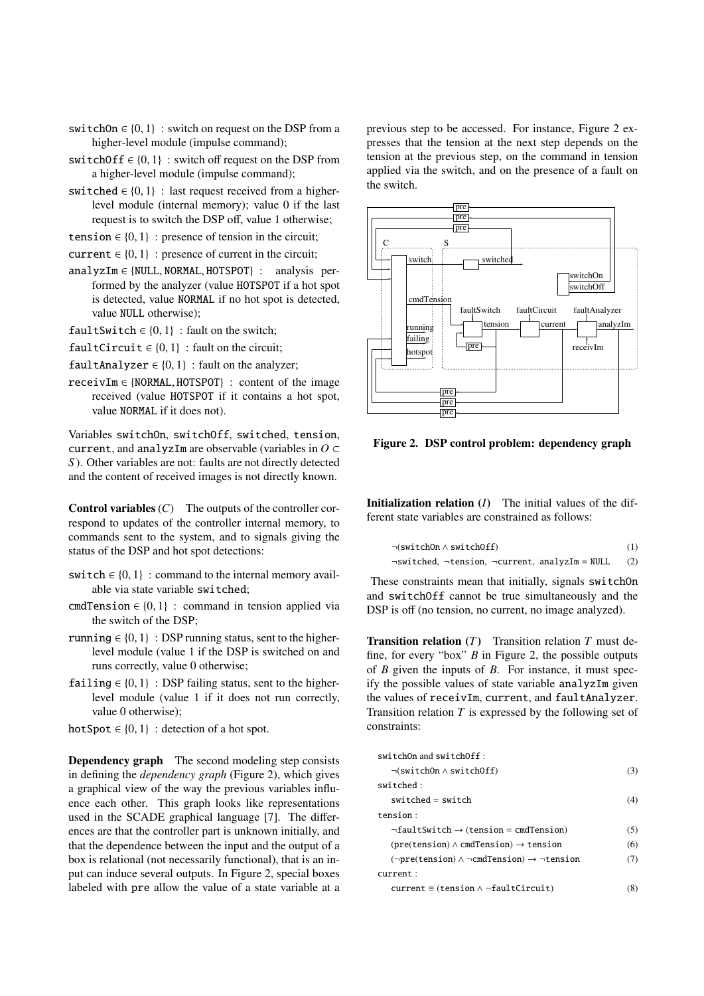- switchOn  $\in \{0, 1\}$ : switch on request on the DSP from a higher-level module (impulse command);
- switchOff  $\in \{0, 1\}$ : switch off request on the DSP from a higher-level module (impulse command);
- switched  $\in \{0, 1\}$ : last request received from a higherlevel module (internal memory); value 0 if the last request is to switch the DSP off, value 1 otherwise;
- tension  $\in \{0, 1\}$ : presence of tension in the circuit;

current  $\in \{0, 1\}$ : presence of current in the circuit;

- analyzIm ∈ {NULL, NORMAL, HOTSPOT} : analysis performed by the analyzer (value HOTSPOT if a hot spot is detected, value NORMAL if no hot spot is detected, value NULL otherwise);
- $faultSwitch \in \{0, 1\}$ : fault on the switch;
- $faultCircuit \in \{0, 1\}$ : fault on the circuit;
- $faultAnalyzer \in \{0, 1\}$ : fault on the analyzer;
- receivIm ∈ {NORMAL, HOTSPOT} : content of the image received (value HOTSPOT if it contains a hot spot, value NORMAL if it does not).

Variables switchOn, switchOff, switched, tension, current, and analyzIm are observable (variables in *O* ⊂ *S* ). Other variables are not: faults are not directly detected and the content of received images is not directly known.

**Control variables**  $(C)$  The outputs of the controller correspond to updates of the controller internal memory, to commands sent to the system, and to signals giving the status of the DSP and hot spot detections:

- switch  $\in \{0, 1\}$ : command to the internal memory available via state variable switched;
- cmdTension  $\in \{0, 1\}$ : command in tension applied via the switch of the DSP;
- running  $\in \{0, 1\}$ : DSP running status, sent to the higherlevel module (value 1 if the DSP is switched on and runs correctly, value 0 otherwise;
- failing  $\in \{0, 1\}$ : DSP failing status, sent to the higherlevel module (value 1 if it does not run correctly, value 0 otherwise);
- hotSpot  $\in \{0, 1\}$ : detection of a hot spot.

Dependency graph The second modeling step consists in defining the *dependency graph* (Figure 2), which gives a graphical view of the way the previous variables influence each other. This graph looks like representations used in the SCADE graphical language [7]. The differences are that the controller part is unknown initially, and that the dependence between the input and the output of a box is relational (not necessarily functional), that is an input can induce several outputs. In Figure 2, special boxes labeled with pre allow the value of a state variable at a previous step to be accessed. For instance, Figure 2 expresses that the tension at the next step depends on the tension at the previous step, on the command in tension applied via the switch, and on the presence of a fault on the switch.



Figure 2. DSP control problem: dependency graph

Initialization relation (*I*) The initial values of the different state variables are constrained as follows:

$$
\neg(\text{switchOn} \land \text{switchOff})\tag{1}
$$

 $\neg$ switched,  $\neg$ tension,  $\neg$ current, analyzIm = NULL (2)

These constraints mean that initially, signals switchOn and switchOff cannot be true simultaneously and the DSP is off (no tension, no current, no image analyzed).

Transition relation (*T*) Transition relation *T* must define, for every "box" *B* in Figure 2, the possible outputs of *B* given the inputs of *B*. For instance, it must specify the possible values of state variable analyzIm given the values of receivIm, current, and faultAnalyzer. Transition relation *T* is expressed by the following set of constraints:

| switchOn and switchOff:                                                            |     |
|------------------------------------------------------------------------------------|-----|
| $\neg$ (switchOn $\land$ switchOff)                                                | (3) |
| switched:                                                                          |     |
| $switched = switch$                                                                | (4) |
| tension:                                                                           |     |
| $\neg$ faultSwitch $\rightarrow$ (tension = cmdTension)                            | (5) |
| $(\text{pre}(\text{tension}) \wedge \text{cmdTension}) \rightarrow \text{tension}$ | (6) |
| $(\neg pre(tension) \land \neg cmdTension) \rightarrow \neg tension$               | (7) |
| current:                                                                           |     |
| $current \equiv (tension \land \neg faultCircuit)$                                 | (8) |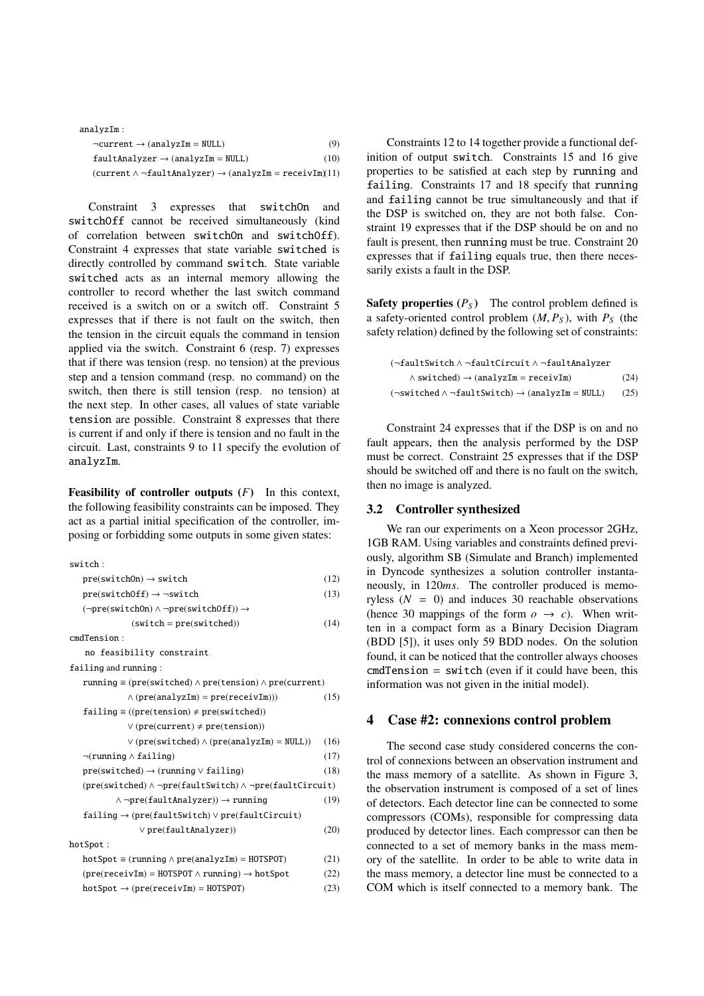| analvzIm:                                                                   |      |
|-----------------------------------------------------------------------------|------|
| $\neg current \rightarrow (analyzIm = NULL)$                                | (9)  |
| $faultAnalyzer \rightarrow (analyzIm = NULL)$                               | (10) |
| $(current \land \neg faultAnalyzer) \rightarrow (analyzIm = receiveIm(11))$ |      |

Constraint 3 expresses that switchOn and switchOff cannot be received simultaneously (kind of correlation between switchOn and switchOff). Constraint 4 expresses that state variable switched is directly controlled by command switch. State variable switched acts as an internal memory allowing the controller to record whether the last switch command received is a switch on or a switch off. Constraint 5 expresses that if there is not fault on the switch, then the tension in the circuit equals the command in tension applied via the switch. Constraint 6 (resp. 7) expresses that if there was tension (resp. no tension) at the previous step and a tension command (resp. no command) on the switch, then there is still tension (resp. no tension) at the next step. In other cases, all values of state variable tension are possible. Constraint 8 expresses that there is current if and only if there is tension and no fault in the circuit. Last, constraints 9 to 11 specify the evolution of analyzIm.

Feasibility of controller outputs (*F*) In this context, the following feasibility constraints can be imposed. They act as a partial initial specification of the controller, imposing or forbidding some outputs in some given states:

| switch:                                                                                                             |      |
|---------------------------------------------------------------------------------------------------------------------|------|
| $pre(subOn) \rightarrow switch$                                                                                     | (12) |
| $pre(subOff) \rightarrow \neg switch$                                                                               | (13) |
| $(\neg pre(subtch0n) \land \neg pre(subtch0ff)) \rightarrow$                                                        |      |
| $(switch = pre(switched))$                                                                                          | (14) |
| cmdTension:                                                                                                         |      |
| no feasibility constraint                                                                                           |      |
| failing and running:                                                                                                |      |
| running $\equiv$ (pre(switched) $\land$ pre(tension) $\land$ pre(current)                                           |      |
| $\wedge$ (pre(analyzIm) = pre(receivIm)))                                                                           | (15) |
| $failing \equiv ((pre(tension) \neq pre(switched))$                                                                 |      |
| $\vee$ (pre(current) $\neq$ pre(tension))                                                                           |      |
| $\vee$ (pre(switched) $\wedge$ (pre(analyzIm) = NULL))                                                              | (16) |
| $\neg$ (running $\land$ failing)                                                                                    | (17) |
| $pre(subited) \rightarrow (running \vee failing)$                                                                   | (18) |
| $(\text{pre}(\text{switched}) \land \neg \text{pre}(\text{faultSwitch}) \land \neg \text{pre}(\text{faultCircuit})$ |      |
| $\land \neg pre(faultAnalyzer)) \rightarrow running$                                                                | (19) |
| $failing \rightarrow (pre(faultSwitch) \vee pre(faultCircuit)$                                                      |      |
| $\vee$ pre(faultAnalyzer))                                                                                          | (20) |
| hotSpot:                                                                                                            |      |
| $hotSpot \equiv (running \land pre(analyzIm) = HOTSPOT)$                                                            | (21) |
| $(\text{pre}(\text{receiver}) = \text{HOTSPOT} \land \text{running}) \rightarrow \text{hotSpot}$                    | (22) |
| $hotSpot \rightarrow (pre(receiving = HOTSPOT)$                                                                     | (23) |
|                                                                                                                     |      |

Constraints 12 to 14 together provide a functional definition of output switch. Constraints 15 and 16 give properties to be satisfied at each step by running and failing. Constraints 17 and 18 specify that running and failing cannot be true simultaneously and that if the DSP is switched on, they are not both false. Constraint 19 expresses that if the DSP should be on and no fault is present, then running must be true. Constraint 20 expresses that if failing equals true, then there necessarily exists a fault in the DSP.

**Safety properties**  $(P_S)$  The control problem defined is a safety-oriented control problem  $(M, P_S)$ , with  $P_S$  (the safety relation) defined by the following set of constraints:

| $(\neg \texttt{faultSwitch} \land \neg \texttt{faultCircuit} \land \neg \texttt{faultAnalyizer})$ |      |
|---------------------------------------------------------------------------------------------------|------|
| $\land$ switched) $\rightarrow$ (analyzIm = receivIm)                                             | (24) |
| $(\neg$ switched $\land \neg$ faultSwitch) $\rightarrow$ (analyzIm = NULL)                        | (25) |

Constraint 24 expresses that if the DSP is on and no fault appears, then the analysis performed by the DSP must be correct. Constraint 25 expresses that if the DSP should be switched off and there is no fault on the switch, then no image is analyzed.

# 3.2 Controller synthesized

We ran our experiments on a Xeon processor 2GHz, 1GB RAM. Using variables and constraints defined previously, algorithm SB (Simulate and Branch) implemented in Dyncode synthesizes a solution controller instantaneously, in 120*ms*. The controller produced is memoryless  $(N = 0)$  and induces 30 reachable observations (hence 30 mappings of the form  $o \rightarrow c$ ). When written in a compact form as a Binary Decision Diagram (BDD [5]), it uses only 59 BDD nodes. On the solution found, it can be noticed that the controller always chooses  $cmdTension = switch (even if it could have been, this$ information was not given in the initial model).

## 4 Case #2: connexions control problem

The second case study considered concerns the control of connexions between an observation instrument and the mass memory of a satellite. As shown in Figure 3, the observation instrument is composed of a set of lines of detectors. Each detector line can be connected to some compressors (COMs), responsible for compressing data produced by detector lines. Each compressor can then be connected to a set of memory banks in the mass memory of the satellite. In order to be able to write data in the mass memory, a detector line must be connected to a COM which is itself connected to a memory bank. The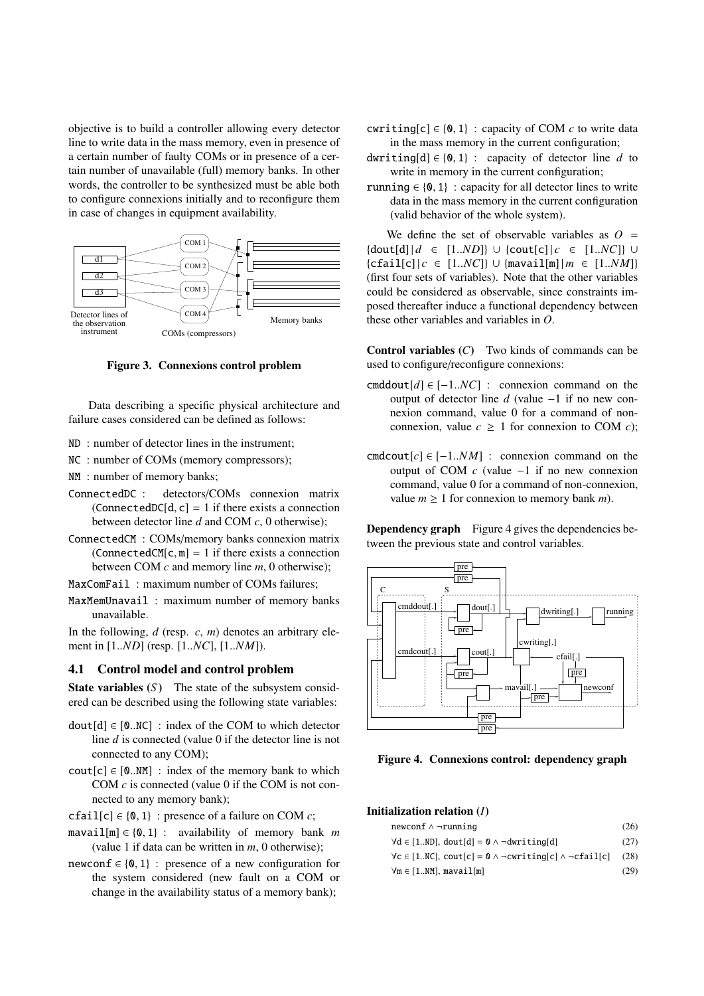objective is to build a controller allowing every detector line to write data in the mass memory, even in presence of a certain number of faulty COMs or in presence of a certain number of unavailable (full) memory banks. In other words, the controller to be synthesized must be able both to configure connexions initially and to reconfigure them in case of changes in equipment availability.



Figure 3. Connexions control problem

Data describing a specific physical architecture and failure cases considered can be defined as follows:

- ND : number of detector lines in the instrument;
- NC : number of COMs (memory compressors);
- NM : number of memory banks;
- ConnectedDC : detectors/COMs connexion matrix  $(ConnectedDC[d, c] = 1$  if there exists a connection between detector line *d* and COM *c*, 0 otherwise);
- ConnectedCM : COMs/memory banks connexion matrix  $(ConnectedCM[c, m] = 1$  if there exists a connection between COM *c* and memory line *m*, 0 otherwise);
- MaxComFail : maximum number of COMs failures;
- MaxMemUnavail : maximum number of memory banks unavailable.

In the following, *d* (resp. *c*, *m*) denotes an arbitrary element in [1..*ND*] (resp. [1..*NC*], [1..*NM*]).

# 4.1 Control model and control problem

**State variables** (S) The state of the subsystem considered can be described using the following state variables:

- $dout[d] \in [0..NC]$ : index of the COM to which detector line *d* is connected (value 0 if the detector line is not connected to any COM);
- $\text{cout}[c] \in [0..NM]$ : index of the memory bank to which COM *c* is connected (value 0 if the COM is not connected to any memory bank);
- cfail[c]  $\in \{0, 1\}$ : presence of a failure on COM *c*;
- $maxail[m] \in \{0, 1\}$ : availability of memory bank *m* (value 1 if data can be written in *m*, 0 otherwise);
- newconf  $\in \{0, 1\}$ : presence of a new configuration for the system considered (new fault on a COM or change in the availability status of a memory bank);
- cwriting[c]  $\in \{0, 1\}$ : capacity of COM *c* to write data in the mass memory in the current configuration;
- dwriting[d]  $\in \{0, 1\}$ : capacity of detector line *d* to write in memory in the current configuration;
- running  $\in \{0, 1\}$ : capacity for all detector lines to write data in the mass memory in the current configuration (valid behavior of the whole system).

We define the set of observable variables as  $Q =$  ${dout[d] | d ∈ [1..ND]} ∪ {cout[c] | c ∈ [1..NC]} ∪$  ${c_{\text{fail}[c]} | c \in [1..NC]} \cup {maxail[m]} | m \in [1..NM]$ (first four sets of variables). Note that the other variables could be considered as observable, since constraints imposed thereafter induce a functional dependency between these other variables and variables in *O*.

Control variables (*C*) Two kinds of commands can be used to configure/reconfigure connexions:

- cmddout $[d] \in [-1..NC]$  : connexion command on the output of detector line *d* (value −1 if no new connexion command, value 0 for a command of nonconnexion, value  $c \geq 1$  for connexion to COM *c*);
- cmdcout[ $c$ ]  $\in$  [-1..*NM*] : connexion command on the output of COM *c* (value −1 if no new connexion command, value 0 for a command of non-connexion, value  $m \geq 1$  for connexion to memory bank *m*).

Dependency graph Figure 4 gives the dependencies between the previous state and control variables.



Figure 4. Connexions control: dependency graph

# Initialization relation (*I*)

| newconf $\wedge$ -running                                                          | (26) |
|------------------------------------------------------------------------------------|------|
| $\forall d \in [1ND]$ , dout[d] = 0 $\land$ $\neg \text{dwriting}[d]$              | (27) |
| $\forall c \in [1NC]$ , cout[c] = 0 $\land \neg$ cwriting[c] $\land \neg$ cfail[c] | (28) |
| $\forall m \in [1NM]$ , mavail $[m]$                                               | (29) |
|                                                                                    |      |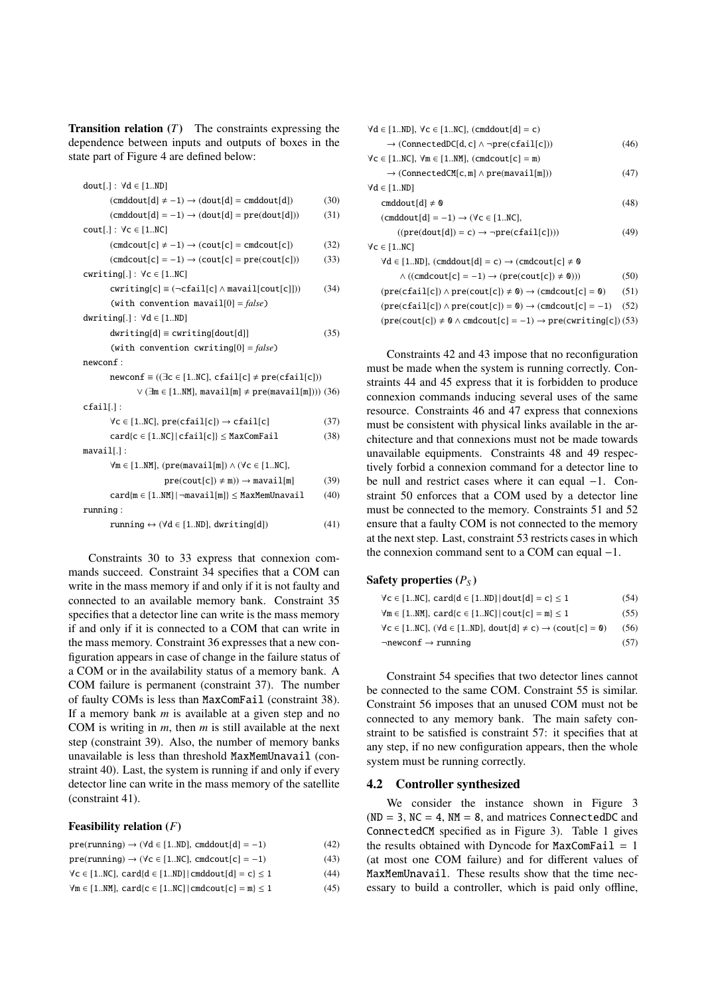**Transition relation**  $(T)$  The constraints expressing the dependence between inputs and outputs of boxes in the state part of Figure 4 are defined below:

| dout[.]: $\forall d \in [1ND]$                                            |      |
|---------------------------------------------------------------------------|------|
| $(c \text{mddout}[d] \neq -1) \rightarrow (dout[d] = c \text{mddout}[d])$ | (30) |
| $(c \text{mddout}[d] = -1) \rightarrow (dout[d] = \text{pre}(dout[d]))$   | (31) |
| $\text{cout}[\cdot]: \forall c \in [1NC]$                                 |      |
| $(cmdcount[c] \neq -1) \rightarrow (cout[c] = cmdcount[c])$               | (32) |
| $(cmdcount[c] = -1) \rightarrow (cout[c] = pre(cout[c]))$                 | (33) |
| $cwriting[.] : \forall c \in [1NC]$                                       |      |
| $cwriting[c] \equiv (\neg cfail[c] \land \text{maxail}[cout[c]]))$        | (34) |
| (with convention mavail[0] = $false$ )                                    |      |
| $dwriting[.] : \forall d \in [1ND]$                                       |      |
| $dwriting[d] \equiv curiting[dout[d]]$                                    | (35) |
| (with convention cwriting[0] = $false$ )                                  |      |
| newconf:                                                                  |      |
| $newconf \equiv ( \exists c \in [1NC], cfail[c] \ne pre(cfail[c]) )$      |      |
| $\vee$ ( $\exists m \in [1NM]$ , mavail[m] $\neq$ pre(mavail[m]))) (36)   |      |
| $cfail[]$ :                                                               |      |
| $\forall c \in [1NC], pre(cfail[c]) \rightarrow cfail[c]$                 | (37) |
| $card{c \in [1NC] cfail[c]} \leq MaxComFail$                              | (38) |
| $maxail[]$ :                                                              |      |
|                                                                           |      |
| $\forall m \in [1NM], (pre(maxail[m]) \wedge (\forall c \in [1NC],$       |      |
| $pre(cout[c]) \neq m)$ ) $\rightarrow$ mavail [m]                         | (39) |
| $card{m \in [1NM]}$ $\lnot$ mavail $[m] \leq$ MaxMemUnavail               | (40) |
| running:                                                                  |      |
| running $\leftrightarrow$ ( $\forall d \in [1ND]$ , dwriting[d])          | (41) |

Constraints 30 to 33 express that connexion commands succeed. Constraint 34 specifies that a COM can write in the mass memory if and only if it is not faulty and connected to an available memory bank. Constraint 35 specifies that a detector line can write is the mass memory if and only if it is connected to a COM that can write in the mass memory. Constraint 36 expresses that a new configuration appears in case of change in the failure status of a COM or in the availability status of a memory bank. A COM failure is permanent (constraint 37). The number of faulty COMs is less than MaxComFail (constraint 38). If a memory bank *m* is available at a given step and no COM is writing in *m*, then *m* is still available at the next step (constraint 39). Also, the number of memory banks unavailable is less than threshold MaxMemUnavail (constraint 40). Last, the system is running if and only if every detector line can write in the mass memory of the satellite (constraint 41).

#### Feasibility relation (*F*)

| $pre(runing) \rightarrow (\forall d \in [1ND], \text{cmddout}[d] = -1)$   | (42) |
|---------------------------------------------------------------------------|------|
| $pre(running) \rightarrow (\forall c \in [1NC],$ cmdcout $[c] = -1)$      | (43) |
| $\forall c \in [1NC]$ , card{d $\in [1ND]$   cmddout[d] = c} $\leq 1$     | (44) |
| $\forall m \in [1NM]$ , card{c $\in [1NC]$   cmdcout $[c] = m$ } $\leq 1$ | (45) |
|                                                                           |      |

| $\forall d \in [1ND]$ , $\forall c \in [1NC]$ , (cmddout $[d] = c$ )                                                 |      |
|----------------------------------------------------------------------------------------------------------------------|------|
| $\rightarrow$ (ConnectedDC[d, c] $\land \neg pre(cfail[c]))$                                                         | (46) |
| $\forall c \in [1NC], \forall m \in [1NM], (cmdcount[c] = m)$                                                        |      |
| $\rightarrow$ (ConnectedCM[c, m] $\land$ pre(mavail[m]))                                                             | (47) |
| $\forall d \in [1ND]$                                                                                                |      |
| cmddout[d] $\neq$ 0                                                                                                  | (48) |
| $(\text{cmddout[d]} = -1) \rightarrow (\forall c \in [1NC],$                                                         |      |
| $((pre(dout[d]) = c) \rightarrow \neg pre(cfail[c]))$                                                                | (49) |
| $\forall c \in [1NC]$                                                                                                |      |
| $\forall d \in [1ND]$ , (cmddout[d] = c) $\rightarrow$ (cmdcout[c] $\neq$ 0                                          |      |
| $\wedge ((\text{cmdcout}[c] = -1) \rightarrow (\text{pre(cout}[c]) \neq 0)))$                                        | (50) |
| $(\text{pre}(cfail[c]) \wedge \text{pre}(cout[c]) \neq 0) \rightarrow (cmdcout[c] = 0)$                              | (51) |
| $(\text{pre}(\text{cfail}[c]) \wedge \text{pre}(\text{count}[c]) = \emptyset) \rightarrow (\text{cmdcount}[c] = -1)$ | (52) |
| $(\text{pre}(count[c]) \neq 0 \land \text{cmdcount}[c] = -1) \rightarrow \text{pre}(writing[c])$ (53)                |      |

Constraints 42 and 43 impose that no reconfiguration must be made when the system is running correctly. Constraints 44 and 45 express that it is forbidden to produce connexion commands inducing several uses of the same resource. Constraints 46 and 47 express that connexions must be consistent with physical links available in the architecture and that connexions must not be made towards unavailable equipments. Constraints 48 and 49 respectively forbid a connexion command for a detector line to be null and restrict cases where it can equal −1. Constraint 50 enforces that a COM used by a detector line must be connected to the memory. Constraints 51 and 52 ensure that a faulty COM is not connected to the memory at the next step. Last, constraint 53 restricts cases in which the connexion command sent to a COM can equal −1.

#### Safety properties  $(P<sub>S</sub>)$

| $\forall c \in [1NC], card\{d \in [1ND] dot[d] = c\} \le 1$                                           | (54) |
|-------------------------------------------------------------------------------------------------------|------|
| $\forall m \in [1NM], card\{c \in [1NC]   cout[c] = m\} \le 1$                                        | (55) |
| $\forall c \in [1NC], (\forall d \in [1ND], \text{dout}[d] \neq c) \rightarrow (\text{count}[c] = 0)$ | (56) |
| $\neg$ newconf $\rightarrow$ running                                                                  | (57) |

Constraint 54 specifies that two detector lines cannot be connected to the same COM. Constraint 55 is similar. Constraint 56 imposes that an unused COM must not be connected to any memory bank. The main safety constraint to be satisfied is constraint 57: it specifies that at any step, if no new configuration appears, then the whole system must be running correctly.

#### 4.2 Controller synthesized

We consider the instance shown in Figure 3  $(ND = 3, NC = 4, NM = 8, and matrices ConnectedDC and$ ConnectedCM specified as in Figure 3). Table 1 gives the results obtained with Dyncode for  $MaxComFail = 1$ (at most one COM failure) and for different values of MaxMemUnavail. These results show that the time necessary to build a controller, which is paid only offline,